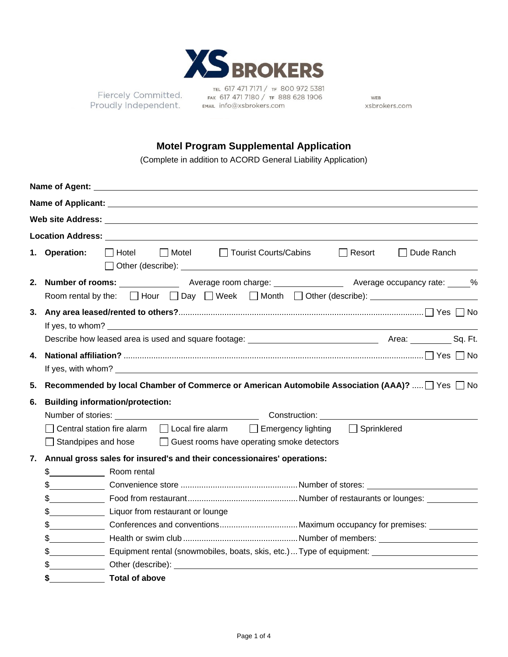

Proudly Independent.

TEL 617 471 7171 / TF 80<br>Fiercely Committed.<br>FAIX 617 471 7180 / TF 888<br>FOUDIY Independent.<br>FMAIL info@xsbrokers.com TEL 617 471 7171 / TF 800 972 5381 FAX 617 471 7180 / TF 888 628 1906

WEB xsbrokers.com

## **Motel Program Supplemental Application**

(Complete in addition to ACORD General Liability Application)

|    |               | Name of Agent: Name of Agent:                                                                                                                                                                                                        |  |  |  |  |
|----|---------------|--------------------------------------------------------------------------------------------------------------------------------------------------------------------------------------------------------------------------------------|--|--|--|--|
|    |               | Name of Applicant: University of Applicant Control of Applicant Control of Applicant Control of Applicant Control of Applicant Control of Applicant Control of Applicant Control of Applicant Control of Applicant Control of        |  |  |  |  |
|    |               |                                                                                                                                                                                                                                      |  |  |  |  |
|    |               | <b>Location Address:</b> And The Second Second Second Second Second Second Second Second Second Second Second Second Second Second Second Second Second Second Second Second Second Second Second Second Second Second Second Secon  |  |  |  |  |
|    | 1. Operation: | □ Hotel □ Motel □ Tourist Courts/Cabins<br>$\Box$ Resort<br>  Dude Ranch                                                                                                                                                             |  |  |  |  |
|    |               | Room rental by the: $\Box$ Hour $\Box$ Day $\Box$ Week $\Box$ Month $\Box$ Other (describe):                                                                                                                                         |  |  |  |  |
|    |               |                                                                                                                                                                                                                                      |  |  |  |  |
|    |               |                                                                                                                                                                                                                                      |  |  |  |  |
|    |               |                                                                                                                                                                                                                                      |  |  |  |  |
| 4. |               |                                                                                                                                                                                                                                      |  |  |  |  |
|    |               | If yes, with whom? <u>substitution is a series of the series of the series of the series of the series of the series of the series of the series of the series of the series of the series of the series of the series of the se</u> |  |  |  |  |
| 5. |               | Recommended by local Chamber of Commerce or American Automobile Association (AAA)?    Yes   No                                                                                                                                       |  |  |  |  |
| 6. |               | <b>Building information/protection:</b>                                                                                                                                                                                              |  |  |  |  |
|    |               |                                                                                                                                                                                                                                      |  |  |  |  |
|    |               | Central station fire alarm □ Local fire alarm □ Emergency lighting □ Sprinklered                                                                                                                                                     |  |  |  |  |
|    |               | $\Box$ Standpipes and hose $\Box$ Guest rooms have operating smoke detectors                                                                                                                                                         |  |  |  |  |
| 7. |               | Annual gross sales for insured's and their concessionaires' operations:                                                                                                                                                              |  |  |  |  |
|    |               |                                                                                                                                                                                                                                      |  |  |  |  |
|    |               |                                                                                                                                                                                                                                      |  |  |  |  |
|    |               |                                                                                                                                                                                                                                      |  |  |  |  |
|    |               |                                                                                                                                                                                                                                      |  |  |  |  |
|    | \$            |                                                                                                                                                                                                                                      |  |  |  |  |
|    | \$            |                                                                                                                                                                                                                                      |  |  |  |  |
|    | \$            | Equipment rental (snowmobiles, boats, skis, etc.)  Type of equipment: __________________________                                                                                                                                     |  |  |  |  |
|    | \$            | Other (describe): example of the state of the state of the state of the state of the state of the state of the state of the state of the state of the state of the state of the state of the state of the state of the state o       |  |  |  |  |
|    | \$            | <b>Total of above</b>                                                                                                                                                                                                                |  |  |  |  |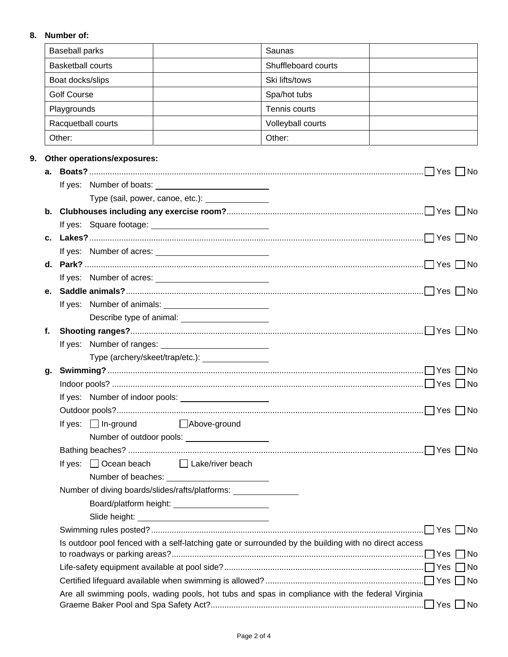## **8. Number of:**

|    | <b>Baseball parks</b>                                                                                |                                                   |                                                                   | Saunas                                                                                          |  |
|----|------------------------------------------------------------------------------------------------------|---------------------------------------------------|-------------------------------------------------------------------|-------------------------------------------------------------------------------------------------|--|
|    | <b>Basketball courts</b>                                                                             |                                                   | Shuffleboard courts                                               |                                                                                                 |  |
|    | Boat docks/slips                                                                                     |                                                   | Ski lifts/tows                                                    |                                                                                                 |  |
|    | <b>Golf Course</b>                                                                                   |                                                   |                                                                   | Spa/hot tubs                                                                                    |  |
|    | Playgrounds                                                                                          |                                                   | Tennis courts                                                     |                                                                                                 |  |
|    | Racquetball courts                                                                                   |                                                   | Volleyball courts                                                 |                                                                                                 |  |
|    | Other:                                                                                               |                                                   |                                                                   | Other:                                                                                          |  |
|    |                                                                                                      |                                                   |                                                                   |                                                                                                 |  |
| 9. |                                                                                                      | Other operations/exposures:                       |                                                                   |                                                                                                 |  |
| а. |                                                                                                      |                                                   |                                                                   |                                                                                                 |  |
|    |                                                                                                      |                                                   | Type (sail, power, canoe, etc.): \[\]                             |                                                                                                 |  |
|    |                                                                                                      |                                                   |                                                                   |                                                                                                 |  |
|    |                                                                                                      |                                                   |                                                                   |                                                                                                 |  |
|    |                                                                                                      |                                                   |                                                                   |                                                                                                 |  |
|    |                                                                                                      |                                                   |                                                                   |                                                                                                 |  |
| d. |                                                                                                      |                                                   |                                                                   |                                                                                                 |  |
|    |                                                                                                      |                                                   |                                                                   |                                                                                                 |  |
| е. |                                                                                                      |                                                   |                                                                   |                                                                                                 |  |
|    |                                                                                                      |                                                   |                                                                   |                                                                                                 |  |
|    | Describe type of animal: _______________________                                                     |                                                   |                                                                   |                                                                                                 |  |
| f. |                                                                                                      |                                                   |                                                                   |                                                                                                 |  |
|    |                                                                                                      |                                                   |                                                                   |                                                                                                 |  |
|    |                                                                                                      | Type (archery/skeet/trap/etc.): _________________ |                                                                   |                                                                                                 |  |
| g. |                                                                                                      |                                                   |                                                                   |                                                                                                 |  |
|    |                                                                                                      |                                                   |                                                                   |                                                                                                 |  |
|    |                                                                                                      |                                                   |                                                                   |                                                                                                 |  |
|    |                                                                                                      |                                                   |                                                                   |                                                                                                 |  |
|    |                                                                                                      | If yes: $\Box$ In-ground                          | □ Above-ground                                                    |                                                                                                 |  |
|    |                                                                                                      |                                                   | Number of outdoor pools: _____________________                    |                                                                                                 |  |
|    |                                                                                                      |                                                   |                                                                   |                                                                                                 |  |
|    |                                                                                                      |                                                   | If yes: $\Box$ Ocean beach $\Box$ Lake/river beach                |                                                                                                 |  |
|    |                                                                                                      |                                                   | Number of diving boards/slides/rafts/platforms: _________________ |                                                                                                 |  |
|    |                                                                                                      |                                                   | Board/platform height: __________________________                 |                                                                                                 |  |
|    |                                                                                                      |                                                   |                                                                   |                                                                                                 |  |
|    |                                                                                                      |                                                   |                                                                   |                                                                                                 |  |
|    | Is outdoor pool fenced with a self-latching gate or surrounded by the building with no direct access |                                                   |                                                                   |                                                                                                 |  |
|    |                                                                                                      |                                                   |                                                                   |                                                                                                 |  |
|    |                                                                                                      |                                                   |                                                                   |                                                                                                 |  |
|    |                                                                                                      |                                                   |                                                                   |                                                                                                 |  |
|    |                                                                                                      |                                                   |                                                                   | Are all swimming pools, wading pools, hot tubs and spas in compliance with the federal Virginia |  |
|    |                                                                                                      |                                                   |                                                                   |                                                                                                 |  |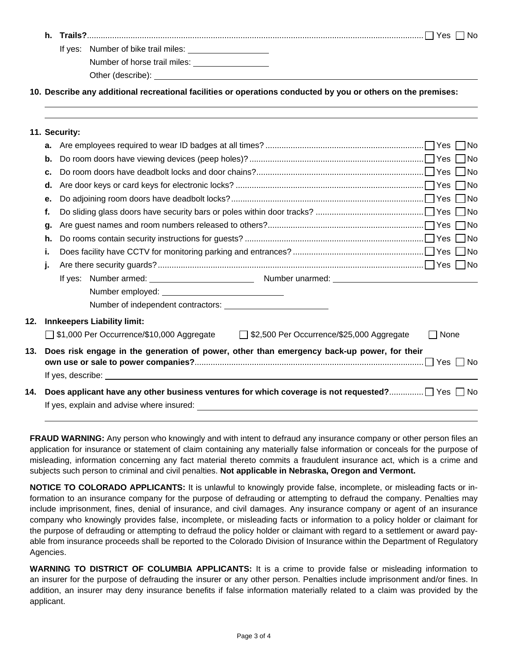| h. |                                        | 'NG. |
|----|----------------------------------------|------|
|    | Number of bike trail miles:<br>If ves: |      |

Number of horse trail miles: **with the set of the set of the set of the set of the set of the set of the set of the set of the set of the set of the set of the set of the set of the set of the set of the set of the set of** 

Other (describe):

 $\overline{a}$ 

**10. Describe any additional recreational facilities or operations conducted by you or others on the premises:** 

|     |    | 11. Security:                                                                                   |
|-----|----|-------------------------------------------------------------------------------------------------|
|     | а. |                                                                                                 |
|     | b. |                                                                                                 |
|     | c. |                                                                                                 |
|     | d. |                                                                                                 |
|     | е. |                                                                                                 |
|     | f. |                                                                                                 |
|     | g. |                                                                                                 |
|     | h. |                                                                                                 |
|     | i. |                                                                                                 |
|     | j. |                                                                                                 |
|     |    |                                                                                                 |
|     |    |                                                                                                 |
|     |    |                                                                                                 |
| 12. |    | <b>Innkeepers Liability limit:</b>                                                              |
|     |    | □ \$1,000 Per Occurrence/\$10,000 Aggregate □ \$2,500 Per Occurrence/\$25,000 Aggregate<br>None |
| 13. |    | Does risk engage in the generation of power, other than emergency back-up power, for their      |
|     |    |                                                                                                 |
| 14. |    | Does applicant have any other business ventures for which coverage is not requested? ] Yes □ No |

**FRAUD WARNING:** Any person who knowingly and with intent to defraud any insurance company or other person files an application for insurance or statement of claim containing any materially false information or conceals for the purpose of misleading, information concerning any fact material thereto commits a fraudulent insurance act, which is a crime and subjects such person to criminal and civil penalties. **Not applicable in Nebraska, Oregon and Vermont.**

**NOTICE TO COLORADO APPLICANTS:** It is unlawful to knowingly provide false, incomplete, or misleading facts or information to an insurance company for the purpose of defrauding or attempting to defraud the company. Penalties may include imprisonment, fines, denial of insurance, and civil damages. Any insurance company or agent of an insurance company who knowingly provides false, incomplete, or misleading facts or information to a policy holder or claimant for the purpose of defrauding or attempting to defraud the policy holder or claimant with regard to a settlement or award payable from insurance proceeds shall be reported to the Colorado Division of Insurance within the Department of Regulatory Agencies.

**WARNING TO DISTRICT OF COLUMBIA APPLICANTS:** It is a crime to provide false or misleading information to an insurer for the purpose of defrauding the insurer or any other person. Penalties include imprisonment and/or fines. In addition, an insurer may deny insurance benefits if false information materially related to a claim was provided by the applicant.